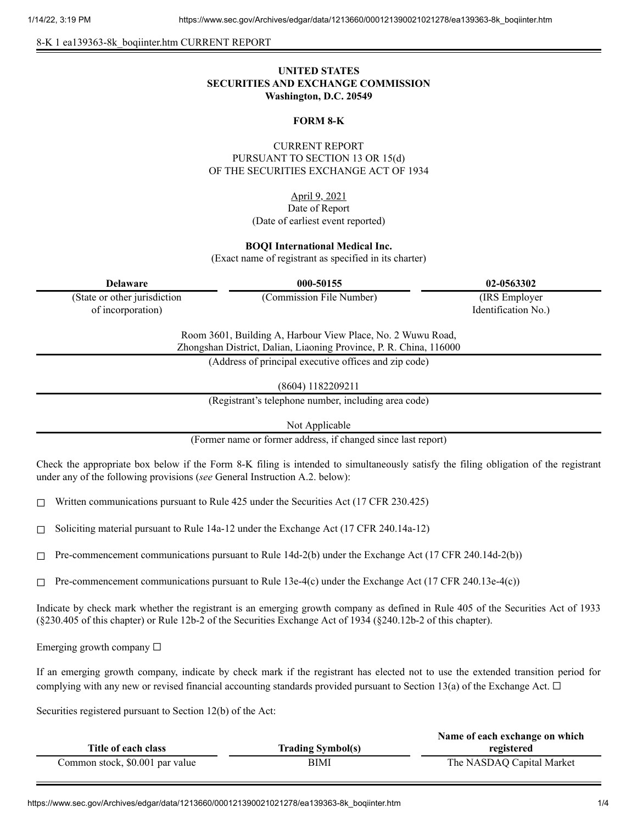8-K 1 ea139363-8k\_boqiinter.htm CURRENT REPORT

# **UNITED STATES SECURITIES AND EXCHANGE COMMISSION Washington, D.C. 20549**

#### **FORM 8-K**

## CURRENT REPORT PURSUANT TO SECTION 13 OR 15(d) OF THE SECURITIES EXCHANGE ACT OF 1934

April 9, 2021 Date of Report (Date of earliest event reported)

#### **BOQI International Medical Inc.**

(Exact name of registrant as specified in its charter)

| <b>Delaware</b>                                                                                                                   | 000-50155                | 02-0563302          |
|-----------------------------------------------------------------------------------------------------------------------------------|--------------------------|---------------------|
| (State or other jurisdiction                                                                                                      | (Commission File Number) | (IRS Employer)      |
| of incorporation)                                                                                                                 |                          | Identification No.) |
| Room 3601, Building A, Harbour View Place, No. 2 Wuwu Road,<br>Zhongshan District, Dalian, Liaoning Province, P. R. China, 116000 |                          |                     |
| (Address of principal executive offices and zip code)                                                                             |                          |                     |
|                                                                                                                                   |                          |                     |

(8604) 1182209211

(Registrant's telephone number, including area code)

Not Applicable

(Former name or former address, if changed since last report)

Check the appropriate box below if the Form 8-K filing is intended to simultaneously satisfy the filing obligation of the registrant under any of the following provisions (*see* General Instruction A.2. below):

☐ Written communications pursuant to Rule 425 under the Securities Act (17 CFR 230.425)

 $\Box$  Soliciting material pursuant to Rule 14a-12 under the Exchange Act (17 CFR 240.14a-12)

 $\Box$  Pre-commencement communications pursuant to Rule 14d-2(b) under the Exchange Act (17 CFR 240.14d-2(b))

 $\Box$  Pre-commencement communications pursuant to Rule 13e-4(c) under the Exchange Act (17 CFR 240.13e-4(c))

Indicate by check mark whether the registrant is an emerging growth company as defined in Rule 405 of the Securities Act of 1933 (§230.405 of this chapter) or Rule 12b-2 of the Securities Exchange Act of 1934 (§240.12b-2 of this chapter).

Emerging growth company  $\Box$ 

If an emerging growth company, indicate by check mark if the registrant has elected not to use the extended transition period for complying with any new or revised financial accounting standards provided pursuant to Section 13(a) of the Exchange Act.  $\Box$ 

Securities registered pursuant to Section 12(b) of the Act:

|                                 |                          | Name of each exchange on which |
|---------------------------------|--------------------------|--------------------------------|
| Title of each class             | <b>Trading Symbol(s)</b> | registered                     |
| Common stock, \$0.001 par value | BIMI                     | The NASDAQ Capital Market      |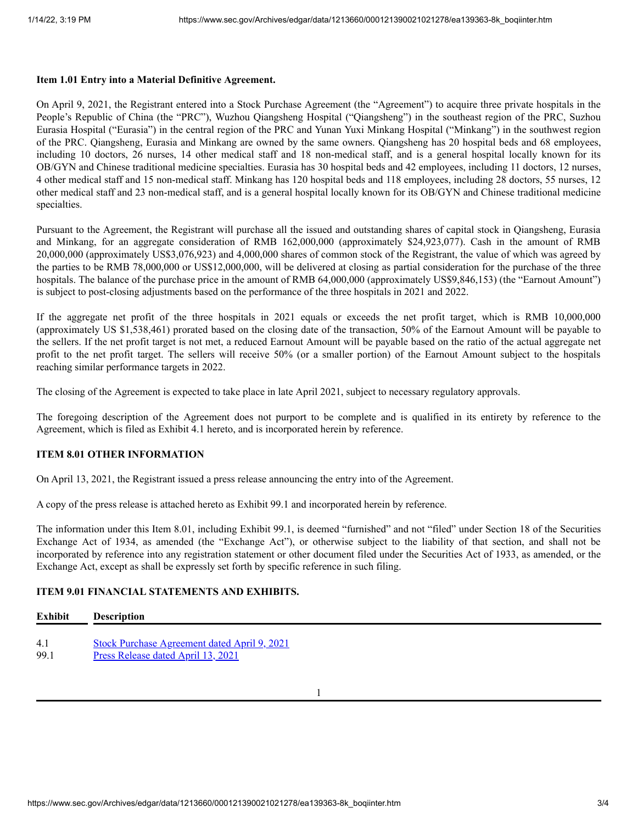#### **Item 1.01 Entry into a Material Definitive Agreement.**

On April 9, 2021, the Registrant entered into a Stock Purchase Agreement (the "Agreement") to acquire three private hospitals in the People's Republic of China (the "PRC"), Wuzhou Qiangsheng Hospital ("Qiangsheng") in the southeast region of the PRC, Suzhou Eurasia Hospital ("Eurasia") in the central region of the PRC and Yunan Yuxi Minkang Hospital ("Minkang") in the southwest region of the PRC. Qiangsheng, Eurasia and Minkang are owned by the same owners. Qiangsheng has 20 hospital beds and 68 employees, including 10 doctors, 26 nurses, 14 other medical staff and 18 non-medical staff, and is a general hospital locally known for its OB/GYN and Chinese traditional medicine specialties. Eurasia has 30 hospital beds and 42 employees, including 11 doctors, 12 nurses, 4 other medical staff and 15 non-medical staff. Minkang has 120 hospital beds and 118 employees, including 28 doctors, 55 nurses, 12 other medical staff and 23 non-medical staff, and is a general hospital locally known for its OB/GYN and Chinese traditional medicine specialties.

Pursuant to the Agreement, the Registrant will purchase all the issued and outstanding shares of capital stock in Qiangsheng, Eurasia and Minkang, for an aggregate consideration of RMB 162,000,000 (approximately \$24,923,077). Cash in the amount of RMB 20,000,000 (approximately US\$3,076,923) and 4,000,000 shares of common stock of the Registrant, the value of which was agreed by the parties to be RMB 78,000,000 or US\$12,000,000, will be delivered at closing as partial consideration for the purchase of the three hospitals. The balance of the purchase price in the amount of RMB 64,000,000 (approximately US\$9,846,153) (the "Earnout Amount") is subject to post-closing adjustments based on the performance of the three hospitals in 2021 and 2022.

If the aggregate net profit of the three hospitals in 2021 equals or exceeds the net profit target, which is RMB 10,000,000 (approximately US \$1,538,461) prorated based on the closing date of the transaction, 50% of the Earnout Amount will be payable to the sellers. If the net profit target is not met, a reduced Earnout Amount will be payable based on the ratio of the actual aggregate net profit to the net profit target. The sellers will receive 50% (or a smaller portion) of the Earnout Amount subject to the hospitals reaching similar performance targets in 2022.

The closing of the Agreement is expected to take place in late April 2021, subject to necessary regulatory approvals.

The foregoing description of the Agreement does not purport to be complete and is qualified in its entirety by reference to the Agreement, which is filed as Exhibit 4.1 hereto, and is incorporated herein by reference.

## **ITEM 8.01 OTHER INFORMATION**

On April 13, 2021, the Registrant issued a press release announcing the entry into of the Agreement.

A copy of the press release is attached hereto as Exhibit 99.1 and incorporated herein by reference.

The information under this Item 8.01, including Exhibit 99.1, is deemed "furnished" and not "filed" under Section 18 of the Securities Exchange Act of 1934, as amended (the "Exchange Act"), or otherwise subject to the liability of that section, and shall not be incorporated by reference into any registration statement or other document filed under the Securities Act of 1933, as amended, or the Exchange Act, except as shall be expressly set forth by specific reference in such filing.

## **ITEM 9.01 FINANCIAL STATEMENTS AND EXHIBITS.**

| <b>Exhibit</b> | <b>Description</b>                                  |
|----------------|-----------------------------------------------------|
| 4.1            | <b>Stock Purchase Agreement dated April 9, 2021</b> |
| 99.1           | Press Release dated April 13, 2021                  |

1